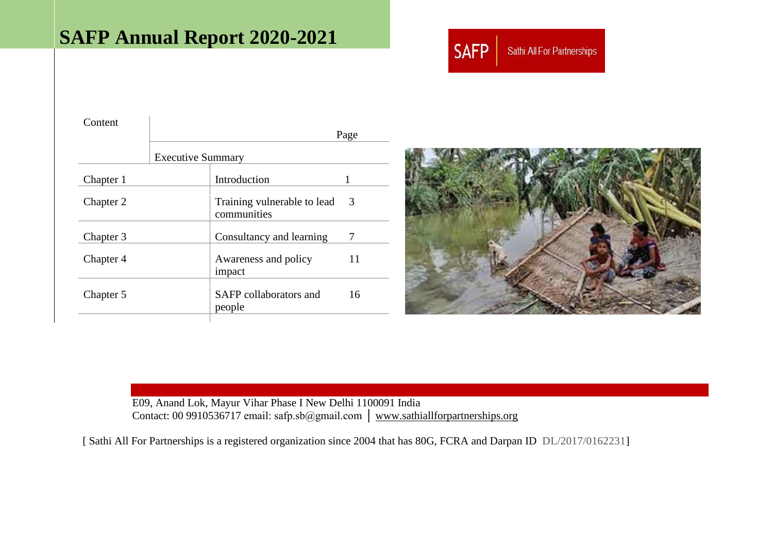# **SAFP Annual Report 2020-2021**



| Content   |                          |                                            |      |
|-----------|--------------------------|--------------------------------------------|------|
|           |                          |                                            | Page |
|           | <b>Executive Summary</b> |                                            |      |
| Chapter 1 |                          | Introduction                               |      |
| Chapter 2 |                          | Training vulnerable to lead<br>communities | 3    |
| Chapter 3 |                          | Consultancy and learning                   | 7    |
| Chapter 4 |                          | Awareness and policy<br>impact             | 11   |
| Chapter 5 |                          | SAFP collaborators and<br>people           | 16   |
|           |                          |                                            |      |



E09, Anand Lok, Mayur Vihar Phase I New Delhi 1100091 India Contact: 00 9910536717 email: safp.sb@gmail.com │ [www.sathiallforpartnerships.org](http://www.sathiallforpartnerships.org/) 

[ Sathi All For Partnerships is a registered organization since 2004 that has 80G, FCRA and Darpan ID DL/2017/0162231]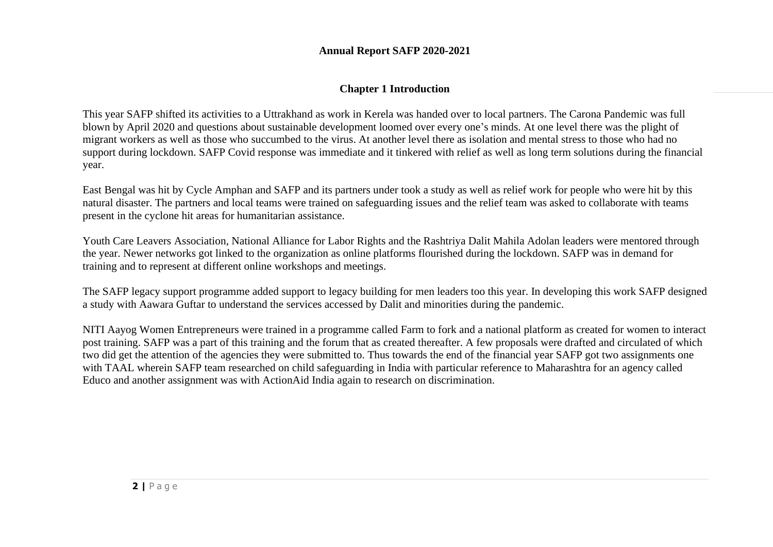### **Annual Report SAFP 2020-2021**

# **Chapter 1 Introduction**

This year SAFP shifted its activities to a Uttrakhand as work in Kerela was handed over to local partners. The Carona Pandemic was full blown by April 2020 and questions about sustainable development loomed over every one's minds. At one level there was the plight of migrant workers as well as those who succumbed to the virus. At another level there as isolation and mental stress to those who had no support during lockdown. SAFP Covid response was immediate and it tinkered with relief as well as long term solutions during the financial year.

East Bengal was hit by Cycle Amphan and SAFP and its partners under took a study as well as relief work for people who were hit by this natural disaster. The partners and local teams were trained on safeguarding issues and the relief team was asked to collaborate with teams present in the cyclone hit areas for humanitarian assistance.

Youth Care Leavers Association, National Alliance for Labor Rights and the Rashtriya Dalit Mahila Adolan leaders were mentored through the year. Newer networks got linked to the organization as online platforms flourished during the lockdown. SAFP was in demand for training and to represent at different online workshops and meetings.

The SAFP legacy support programme added support to legacy building for men leaders too this year. In developing this work SAFP designed a study with Aawara Guftar to understand the services accessed by Dalit and minorities during the pandemic.

NITI Aayog Women Entrepreneurs were trained in a programme called Farm to fork and a national platform as created for women to interact post training. SAFP was a part of this training and the forum that as created thereafter. A few proposals were drafted and circulated of which two did get the attention of the agencies they were submitted to. Thus towards the end of the financial year SAFP got two assignments one with TAAL wherein SAFP team researched on child safeguarding in India with particular reference to Maharashtra for an agency called Educo and another assignment was with ActionAid India again to research on discrimination.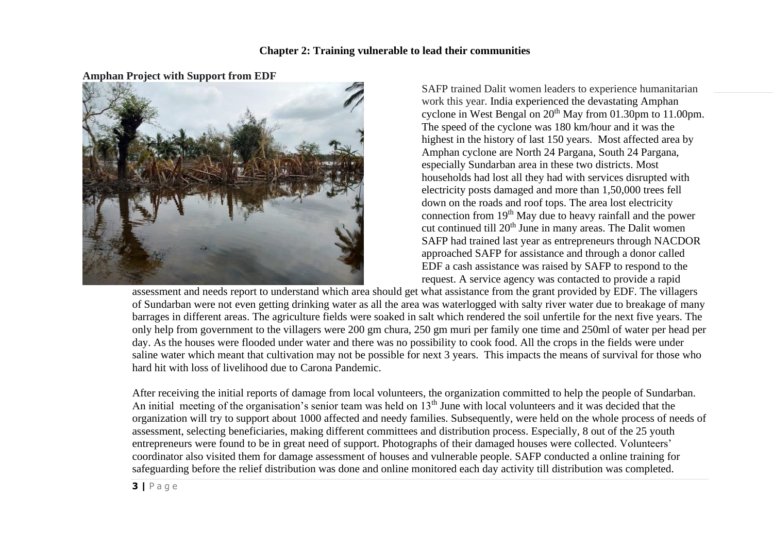

**Amphan Project with Support from EDF**

SAFP trained Dalit women leaders to experience humanitarian work this year. India experienced the devastating Amphan cyclone in West Bengal on  $20<sup>th</sup>$  May from 01.30pm to 11.00pm. The speed of the cyclone was 180 km/hour and it was the highest in the history of last 150 years. Most affected area by Amphan cyclone are North 24 Pargana, South 24 Pargana, especially Sundarban area in these two districts. Most households had lost all they had with services disrupted with electricity posts damaged and more than 1,50,000 trees fell down on the roads and roof tops. The area lost electricity connection from 19th May due to heavy rainfall and the power cut continued till 20<sup>th</sup> June in many areas. The Dalit women SAFP had trained last year as entrepreneurs through NACDOR approached SAFP for assistance and through a donor called EDF a cash assistance was raised by SAFP to respond to the request. A service agency was contacted to provide a rapid

assessment and needs report to understand which area should get what assistance from the grant provided by EDF. The villagers of Sundarban were not even getting drinking water as all the area was waterlogged with salty river water due to breakage of many barrages in different areas. The agriculture fields were soaked in salt which rendered the soil unfertile for the next five years. The only help from government to the villagers were 200 gm chura, 250 gm muri per family one time and 250ml of water per head per day. As the houses were flooded under water and there was no possibility to cook food. All the crops in the fields were under saline water which meant that cultivation may not be possible for next 3 years. This impacts the means of survival for those who hard hit with loss of livelihood due to Carona Pandemic.

After receiving the initial reports of damage from local volunteers, the organization committed to help the people of Sundarban. An initial meeting of the organisation's senior team was held on 13<sup>th</sup> June with local volunteers and it was decided that the organization will try to support about 1000 affected and needy families. Subsequently, were held on the whole process of needs of assessment, selecting beneficiaries, making different committees and distribution process. Especially, 8 out of the 25 youth entrepreneurs were found to be in great need of support. Photographs of their damaged houses were collected. Volunteers' coordinator also visited them for damage assessment of houses and vulnerable people. SAFP conducted a online training for safeguarding before the relief distribution was done and online monitored each day activity till distribution was completed.

**3 |** P a g e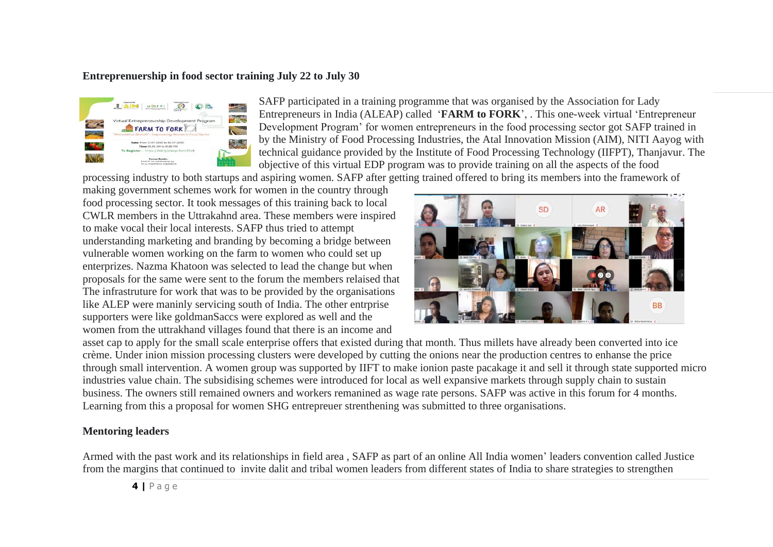#### **Entreprenuership in food sector training July 22 to July 30**



SAFP participated in a training programme that was organised by the Association for Lady Entrepreneurs in India (ALEAP) called '**FARM to FORK**', . This one-week virtual 'Entrepreneur Development Program' for women entrepreneurs in the food processing sector got SAFP trained in by the Ministry of Food Processing Industries, the Atal Innovation Mission (AIM), NITI Aayog with technical guidance provided by the Institute of Food Processing Technology (IIFPT), Thanjavur. The objective of this virtual EDP program was to provide training on all the aspects of the food

processing industry to both startups and aspiring women. SAFP after getting trained offered to bring its members into the framework of

making government schemes work for women in the country through food processing sector. It took messages of this training back to local CWLR members in the Uttrakahnd area. These members were inspired to make vocal their local interests. SAFP thus tried to attempt understanding marketing and branding by becoming a bridge between vulnerable women working on the farm to women who could set up enterprizes. Nazma Khatoon was selected to lead the change but when proposals for the same were sent to the forum the members relaised that The infrastruture for work that was to be provided by the organisations like ALEP were maninly servicing south of India. The other entrprise supporters were like goldmanSaccs were explored as well and the women from the uttrakhand villages found that there is an income and



asset cap to apply for the small scale enterprise offers that existed during that month. Thus millets have already been converted into ice crème. Under inion mission processing clusters were developed by cutting the onions near the production centres to enhanse the price through small intervention. A women group was supported by IIFT to make ionion paste pacakage it and sell it through state supported micro industries value chain. The subsidising schemes were introduced for local as well expansive markets through supply chain to sustain business. The owners still remained owners and workers remanined as wage rate persons. SAFP was active in this forum for 4 months. Learning from this a proposal for women SHG entrepreuer strenthening was submitted to three organisations.

## **Mentoring leaders**

Armed with the past work and its relationships in field area , SAFP as part of an online All India women' leaders convention called Justice from the margins that continued to invite dalit and tribal women leaders from different states of India to share strategies to strengthen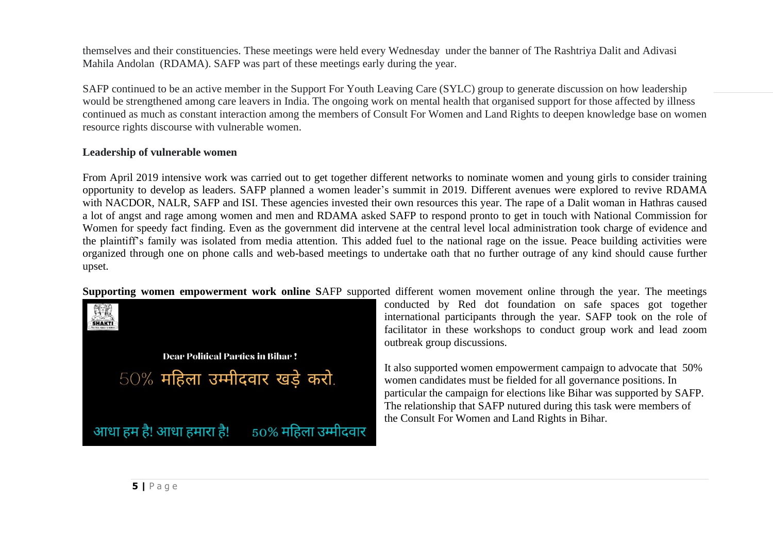themselves and their constituencies. These meetings were held every Wednesday under the banner of The Rashtriya Dalit and Adivasi Mahila Andolan (RDAMA). SAFP was part of these meetings early during the year.

SAFP continued to be an active member in the Support For Youth Leaving Care (SYLC) group to generate discussion on how leadership would be strengthened among care leavers in India. The ongoing work on mental health that organised support for those affected by illness continued as much as constant interaction among the members of Consult For Women and Land Rights to deepen knowledge base on women resource rights discourse with vulnerable women.

## **Leadership of vulnerable women**

From April 2019 intensive work was carried out to get together different networks to nominate women and young girls to consider training opportunity to develop as leaders. SAFP planned a women leader's summit in 2019. Different avenues were explored to revive RDAMA with NACDOR, NALR, SAFP and ISI. These agencies invested their own resources this year. The rape of a Dalit woman in Hathras caused a lot of angst and rage among women and men and RDAMA asked SAFP to respond pronto to get in touch with National Commission for Women for speedy fact finding. Even as the government did intervene at the central level local administration took charge of evidence and the plaintiff's family was isolated from media attention. This added fuel to the national rage on the issue. Peace building activities were organized through one on phone calls and web-based meetings to undertake oath that no further outrage of any kind should cause further upset.

**Supporting women empowerment work online S**AFP supported different women movement online through the year. The meetings

印加 SHAKTI **Dear Political Parties in Bihar!**  $50\%$  महिला उम्मीदवार खड़े करो. आधा हम है! आधा हमारा है!  $50\%$  महिला उम्मीदवार

conducted by Red dot foundation on safe spaces got together international participants through the year. SAFP took on the role of facilitator in these workshops to conduct group work and lead zoom outbreak group discussions.

It also supported women empowerment campaign to advocate that 50% women candidates must be fielded for all governance positions. In particular the campaign for elections like Bihar was supported by SAFP. The relationship that SAFP nutured during this task were members of the Consult For Women and Land Rights in Bihar.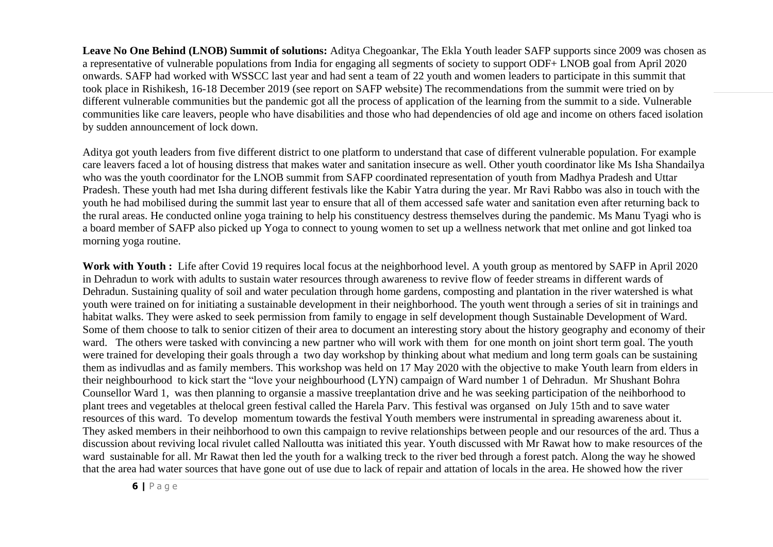**Leave No One Behind (LNOB) Summit of solutions:** Aditya Chegoankar, The Ekla Youth leader SAFP supports since 2009 was chosen as a representative of vulnerable populations from India for engaging all segments of society to support ODF+ LNOB goal from April 2020 onwards. SAFP had worked with WSSCC last year and had sent a team of 22 youth and women leaders to participate in this summit that took place in Rishikesh, 16-18 December 2019 (see report on SAFP website) The recommendations from the summit were tried on by different vulnerable communities but the pandemic got all the process of application of the learning from the summit to a side. Vulnerable communities like care leavers, people who have disabilities and those who had dependencies of old age and income on others faced isolation by sudden announcement of lock down.

Aditya got youth leaders from five different district to one platform to understand that case of different vulnerable population. For example care leavers faced a lot of housing distress that makes water and sanitation insecure as well. Other youth coordinator like Ms Isha Shandailya who was the youth coordinator for the LNOB summit from SAFP coordinated representation of youth from Madhya Pradesh and Uttar Pradesh. These youth had met Isha during different festivals like the Kabir Yatra during the year. Mr Ravi Rabbo was also in touch with the youth he had mobilised during the summit last year to ensure that all of them accessed safe water and sanitation even after returning back to the rural areas. He conducted online yoga training to help his constituency destress themselves during the pandemic. Ms Manu Tyagi who is a board member of SAFP also picked up Yoga to connect to young women to set up a wellness network that met online and got linked toa morning yoga routine.

Work with Youth : Life after Covid 19 requires local focus at the neighborhood level. A youth group as mentored by SAFP in April 2020 in Dehradun to work with adults to sustain water resources through awareness to revive flow of feeder streams in different wards of Dehradun. Sustaining quality of soil and water peculation through home gardens, composting and plantation in the river watershed is what youth were trained on for initiating a sustainable development in their neighborhood. The youth went through a series of sit in trainings and habitat walks. They were asked to seek permission from family to engage in self development though Sustainable Development of Ward. Some of them choose to talk to senior citizen of their area to document an interesting story about the history geography and economy of their ward. The others were tasked with convincing a new partner who will work with them for one month on joint short term goal. The youth were trained for developing their goals through a two day workshop by thinking about what medium and long term goals can be sustaining them as indivudlas and as family members. This workshop was held on 17 May 2020 with the objective to make Youth learn from elders in their neighbourhood to kick start the "love your neighbourhood (LYN) campaign of Ward number 1 of Dehradun. Mr Shushant Bohra Counsellor Ward 1, was then planning to organsie a massive treeplantation drive and he was seeking participation of the neihborhood to plant trees and vegetables at thelocal green festival called the Harela Parv. This festival was organsed on July 15th and to save water resources of this ward. To develop momentum towards the festival Youth members were instrumental in spreading awareness about it. They asked members in their neihborhood to own this campaign to revive relationships between people and our resources of the ard. Thus a discussion about reviving local rivulet called Nalloutta was initiated this year. Youth discussed with Mr Rawat how to make resources of the ward sustainable for all. Mr Rawat then led the youth for a walking treck to the river bed through a forest patch. Along the way he showed that the area had water sources that have gone out of use due to lack of repair and attation of locals in the area. He showed how the river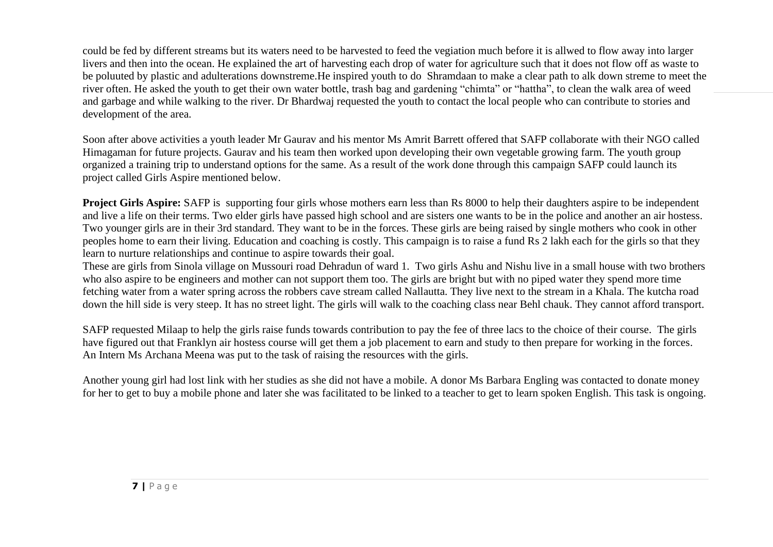could be fed by different streams but its waters need to be harvested to feed the vegiation much before it is allwed to flow away into larger livers and then into the ocean. He explained the art of harvesting each drop of water for agriculture such that it does not flow off as waste to be poluuted by plastic and adulterations downstreme.He inspired youth to do Shramdaan to make a clear path to alk down streme to meet the river often. He asked the youth to get their own water bottle, trash bag and gardening "chimta" or "hattha", to clean the walk area of weed and garbage and while walking to the river. Dr Bhardwaj requested the youth to contact the local people who can contribute to stories and development of the area.

Soon after above activities a youth leader Mr Gaurav and his mentor Ms Amrit Barrett offered that SAFP collaborate with their NGO called Himagaman for future projects. Gaurav and his team then worked upon developing their own vegetable growing farm. The youth group organized a training trip to understand options for the same. As a result of the work done through this campaign SAFP could launch its project called Girls Aspire mentioned below.

**Project Girls Aspire:** SAFP is supporting four girls whose mothers earn less than Rs 8000 to help their daughters aspire to be independent and live a life on their terms. Two elder girls have passed high school and are sisters one wants to be in the police and another an air hostess. Two younger girls are in their 3rd standard. They want to be in the forces. These girls are being raised by single mothers who cook in other peoples home to earn their living. Education and coaching is costly. This campaign is to raise a fund Rs 2 lakh each for the girls so that they learn to nurture relationships and continue to aspire towards their goal.

These are girls from Sinola village on Mussouri road Dehradun of ward 1. Two girls Ashu and Nishu live in a small house with two brothers who also aspire to be engineers and mother can not support them too. The girls are bright but with no piped water they spend more time fetching water from a water spring across the robbers cave stream called Nallautta. They live next to the stream in a Khala. The kutcha road down the hill side is very steep. It has no street light. The girls will walk to the coaching class near Behl chauk. They cannot afford transport.

SAFP requested Milaap to help the girls raise funds towards contribution to pay the fee of three lacs to the choice of their course. The girls have figured out that Franklyn air hostess course will get them a job placement to earn and study to then prepare for working in the forces. An Intern Ms Archana Meena was put to the task of raising the resources with the girls.

Another young girl had lost link with her studies as she did not have a mobile. A donor Ms Barbara Engling was contacted to donate money for her to get to buy a mobile phone and later she was facilitated to be linked to a teacher to get to learn spoken English. This task is ongoing.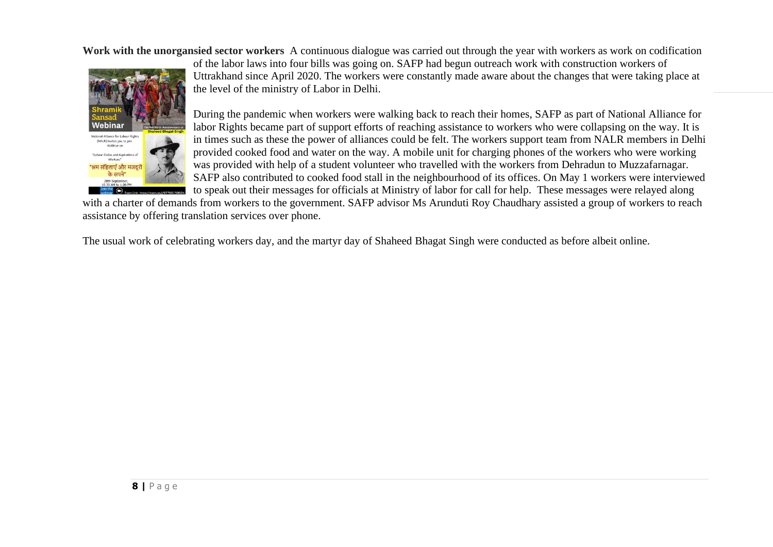**Work with the unorgansied sector workers** A continuous dialogue was carried out through the year with workers as work on codification



of the labor laws into four bills was going on. SAFP had begun outreach work with construction workers of Uttrakhand since April 2020. The workers were constantly made aware about the changes that were taking place at the level of the ministry of Labor in Delhi.

During the pandemic when workers were walking back to reach their homes, SAFP as part of National Alliance for labor Rights became part of support efforts of reaching assistance to workers who were collapsing on the way. It is in times such as these the power of alliances could be felt. The workers support team from NALR members in Delhi provided cooked food and water on the way. A mobile unit for charging phones of the workers who were working was provided with help of a student volunteer who travelled with the workers from Dehradun to Muzzafarnagar. SAFP also contributed to cooked food stall in the neighbourhood of its offices. On May 1 workers were interviewed to speak out their messages for officials at Ministry of labor for call for help. These messages were relayed along

with a charter of demands from workers to the government. SAFP advisor Ms Arunduti Roy Chaudhary assisted a group of workers to reach assistance by offering translation services over phone.

The usual work of celebrating workers day, and the martyr day of Shaheed Bhagat Singh were conducted as before albeit online.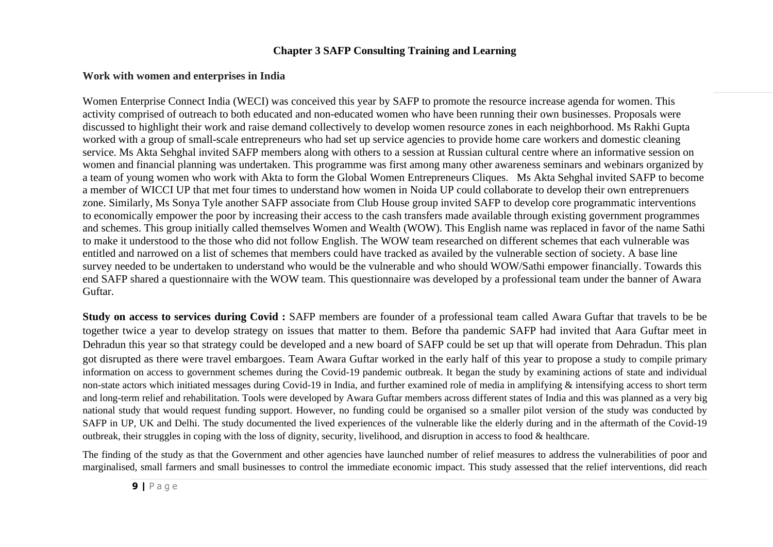#### **Chapter 3 SAFP Consulting Training and Learning**

#### **Work with women and enterprises in India**

Women Enterprise Connect India (WECI) was conceived this year by SAFP to promote the resource increase agenda for women. This activity comprised of outreach to both educated and non-educated women who have been running their own businesses. Proposals were discussed to highlight their work and raise demand collectively to develop women resource zones in each neighborhood. Ms Rakhi Gupta worked with a group of small-scale entrepreneurs who had set up service agencies to provide home care workers and domestic cleaning service. Ms Akta Sehghal invited SAFP members along with others to a session at Russian cultural centre where an informative session on women and financial planning was undertaken. This programme was first among many other awareness seminars and webinars organized by a team of young women who work with Akta to form the Global Women Entrepreneurs Cliques. Ms Akta Sehghal invited SAFP to become a member of WICCI UP that met four times to understand how women in Noida UP could collaborate to develop their own entreprenuers zone. Similarly, Ms Sonya Tyle another SAFP associate from Club House group invited SAFP to develop core programmatic interventions to economically empower the poor by increasing their access to the cash transfers made available through existing government programmes and schemes. This group initially called themselves Women and Wealth (WOW). This English name was replaced in favor of the name Sathi to make it understood to the those who did not follow English. The WOW team researched on different schemes that each vulnerable was entitled and narrowed on a list of schemes that members could have tracked as availed by the vulnerable section of society. A base line survey needed to be undertaken to understand who would be the vulnerable and who should WOW/Sathi empower financially. Towards this end SAFP shared a questionnaire with the WOW team. This questionnaire was developed by a professional team under the banner of Awara Guftar.

**Study on access to services during Covid :** SAFP members are founder of a professional team called Awara Guftar that travels to be be together twice a year to develop strategy on issues that matter to them. Before tha pandemic SAFP had invited that Aara Guftar meet in Dehradun this year so that strategy could be developed and a new board of SAFP could be set up that will operate from Dehradun. This plan got disrupted as there were travel embargoes. Team Awara Guftar worked in the early half of this year to propose a study to compile primary information on access to government schemes during the Covid-19 pandemic outbreak. It began the study by examining actions of state and individual non-state actors which initiated messages during Covid-19 in India, and further examined role of media in amplifying & intensifying access to short term and long-term relief and rehabilitation. Tools were developed by Awara Guftar members across different states of India and this was planned as a very big national study that would request funding support. However, no funding could be organised so a smaller pilot version of the study was conducted by SAFP in UP, UK and Delhi. The study documented the lived experiences of the vulnerable like the elderly during and in the aftermath of the Covid-19 outbreak, their struggles in coping with the loss of dignity, security, livelihood, and disruption in access to food  $\&$  healthcare.

The finding of the study as that the Government and other agencies have launched number of relief measures to address the vulnerabilities of poor and marginalised, small farmers and small businesses to control the immediate economic impact. This study assessed that the relief interventions, did reach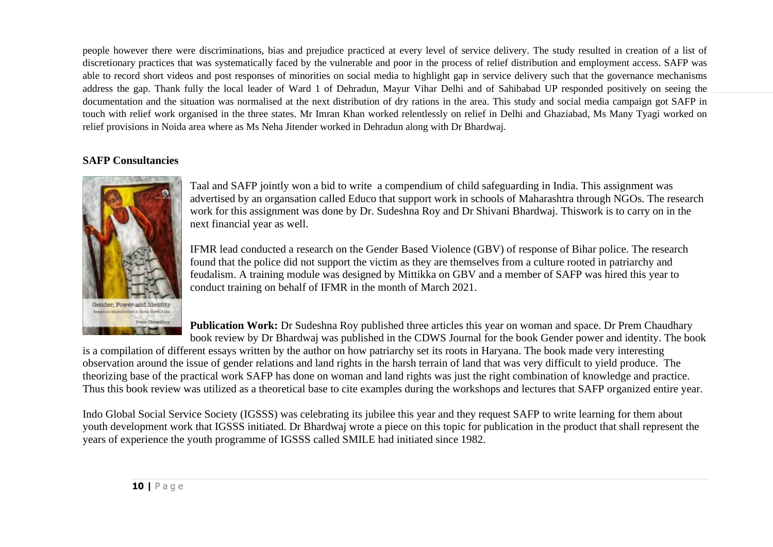people however there were discriminations, bias and prejudice practiced at every level of service delivery. The study resulted in creation of a list of discretionary practices that was systematically faced by the vulnerable and poor in the process of relief distribution and employment access. SAFP was able to record short videos and post responses of minorities on social media to highlight gap in service delivery such that the governance mechanisms address the gap. Thank fully the local leader of Ward 1 of Dehradun, Mayur Vihar Delhi and of Sahibabad UP responded positively on seeing the documentation and the situation was normalised at the next distribution of dry rations in the area. This study and social media campaign got SAFP in touch with relief work organised in the three states. Mr Imran Khan worked relentlessly on relief in Delhi and Ghaziabad, Ms Many Tyagi worked on relief provisions in Noida area where as Ms Neha Jitender worked in Dehradun along with Dr Bhardwaj.

# **SAFP Consultancies**



Taal and SAFP jointly won a bid to write a compendium of child safeguarding in India. This assignment was advertised by an organsation called Educo that support work in schools of Maharashtra through NGOs. The research work for this assignment was done by Dr. Sudeshna Roy and Dr Shivani Bhardwaj. Thiswork is to carry on in the next financial year as well.

IFMR lead conducted a research on the Gender Based Violence (GBV) of response of Bihar police. The research found that the police did not support the victim as they are themselves from a culture rooted in patriarchy and feudalism. A training module was designed by Mittikka on GBV and a member of SAFP was hired this year to conduct training on behalf of IFMR in the month of March 2021.

**Publication Work:** Dr Sudeshna Roy published three articles this year on woman and space. Dr Prem Chaudhary book review by Dr Bhardwaj was published in the CDWS Journal for the book Gender power and identity. The book

is a compilation of different essays written by the author on how patriarchy set its roots in Haryana. The book made very interesting observation around the issue of gender relations and land rights in the harsh terrain of land that was very difficult to yield produce. The theorizing base of the practical work SAFP has done on woman and land rights was just the right combination of knowledge and practice. Thus this book review was utilized as a theoretical base to cite examples during the workshops and lectures that SAFP organized entire year.

Indo Global Social Service Society (IGSSS) was celebrating its jubilee this year and they request SAFP to write learning for them about youth development work that IGSSS initiated. Dr Bhardwaj wrote a piece on this topic for publication in the product that shall represent the years of experience the youth programme of IGSSS called SMILE had initiated since 1982.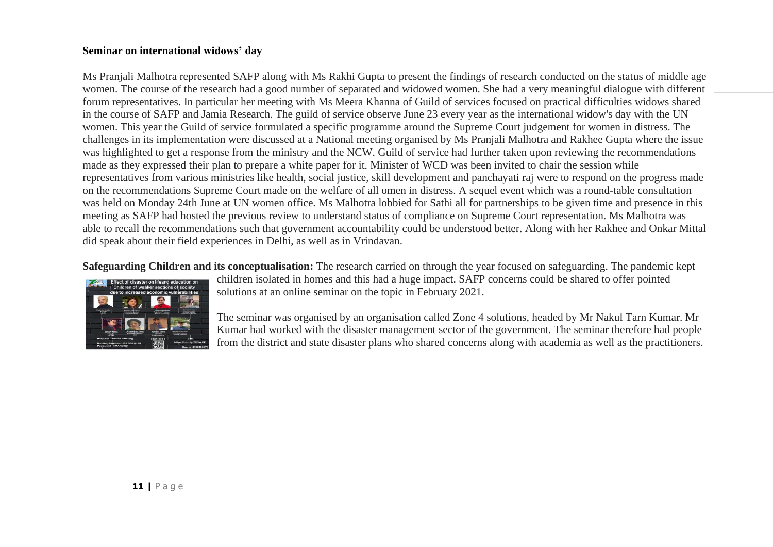#### **Seminar on international widows' day**

Ms Pranjali Malhotra represented SAFP along with Ms Rakhi Gupta to present the findings of research conducted on the status of middle age women. The course of the research had a good number of separated and widowed women. She had a very meaningful dialogue with different forum representatives. In particular her meeting with Ms Meera Khanna of Guild of services focused on practical difficulties widows shared in the course of SAFP and Jamia Research. The guild of service observe June 23 every year as the international widow's day with the UN women. This year the Guild of service formulated a specific programme around the Supreme Court judgement for women in distress. The challenges in its implementation were discussed at a National meeting organised by Ms Pranjali Malhotra and Rakhee Gupta where the issue was highlighted to get a response from the ministry and the NCW. Guild of service had further taken upon reviewing the recommendations made as they expressed their plan to prepare a white paper for it. Minister of WCD was been invited to chair the session while representatives from various ministries like health, social justice, skill development and panchayati raj were to respond on the progress made on the recommendations Supreme Court made on the welfare of all omen in distress. A sequel event which was a round-table consultation was held on Monday 24th June at UN women office. Ms Malhotra lobbied for Sathi all for partnerships to be given time and presence in this meeting as SAFP had hosted the previous review to understand status of compliance on Supreme Court representation. Ms Malhotra was able to recall the recommendations such that government accountability could be understood better. Along with her Rakhee and Onkar Mittal did speak about their field experiences in Delhi, as well as in Vrindavan.

**Safeguarding Children and its conceptualisation:** The research carried on through the year focused on safeguarding. The pandemic kept



children isolated in homes and this had a huge impact. SAFP concerns could be shared to offer pointed solutions at an online seminar on the topic in February 2021.

The seminar was organised by an organisation called Zone 4 solutions, headed by Mr Nakul Tarn Kumar. Mr Kumar had worked with the disaster management sector of the government. The seminar therefore had people from the district and state disaster plans who shared concerns along with academia as well as the practitioners.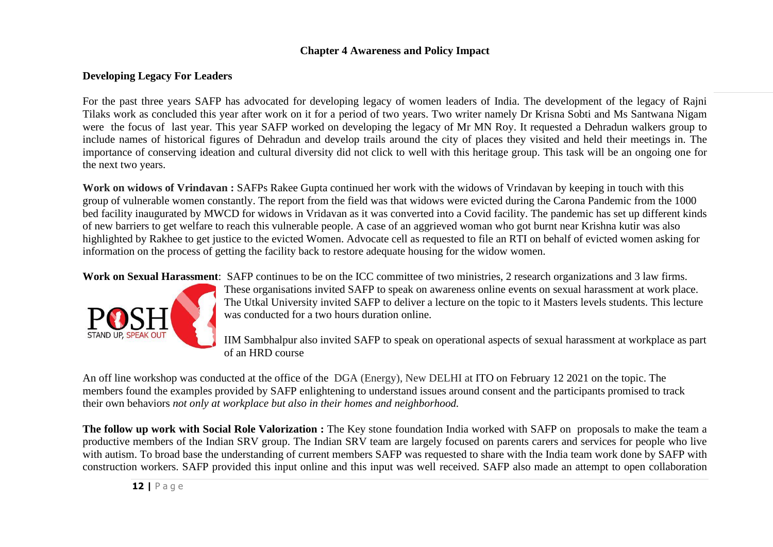#### **Chapter 4 Awareness and Policy Impact**

## **Developing Legacy For Leaders**

For the past three years SAFP has advocated for developing legacy of women leaders of India. The development of the legacy of Rajni Tilaks work as concluded this year after work on it for a period of two years. Two writer namely Dr Krisna Sobti and Ms Santwana Nigam were the focus of last year. This year SAFP worked on developing the legacy of Mr MN Roy. It requested a Dehradun walkers group to include names of historical figures of Dehradun and develop trails around the city of places they visited and held their meetings in. The importance of conserving ideation and cultural diversity did not click to well with this heritage group. This task will be an ongoing one for the next two years.

**Work on widows of Vrindavan :** SAFPs Rakee Gupta continued her work with the widows of Vrindavan by keeping in touch with this group of vulnerable women constantly. The report from the field was that widows were evicted during the Carona Pandemic from the 1000 bed facility inaugurated by MWCD for widows in Vridavan as it was converted into a Covid facility. The pandemic has set up different kinds of new barriers to get welfare to reach this vulnerable people. A case of an aggrieved woman who got burnt near Krishna kutir was also highlighted by Rakhee to get justice to the evicted Women. Advocate cell as requested to file an RTI on behalf of evicted women asking for information on the process of getting the facility back to restore adequate housing for the widow women.

**Work on Sexual Harassment**: SAFP continues to be on the ICC committee of two ministries, 2 research organizations and 3 law firms.



These organisations invited SAFP to speak on awareness online events on sexual harassment at work place. The Utkal University invited SAFP to deliver a lecture on the topic to it Masters levels students. This lecture was conducted for a two hours duration online.

IIM Sambhalpur also invited SAFP to speak on operational aspects of sexual harassment at workplace as part of an HRD course

An off line workshop was conducted at the office of the DGA (Energy), New DELHI at ITO on February 12 2021 on the topic. The members found the examples provided by SAFP enlightening to understand issues around consent and the participants promised to track their own behaviors *not only at workplace but also in their homes and neighborhood.* 

**The follow up work with Social Role Valorization :** The Key stone foundation India worked with SAFP on proposals to make the team a productive members of the Indian SRV group. The Indian SRV team are largely focused on parents carers and services for people who live with autism. To broad base the understanding of current members SAFP was requested to share with the India team work done by SAFP with construction workers. SAFP provided this input online and this input was well received. SAFP also made an attempt to open collaboration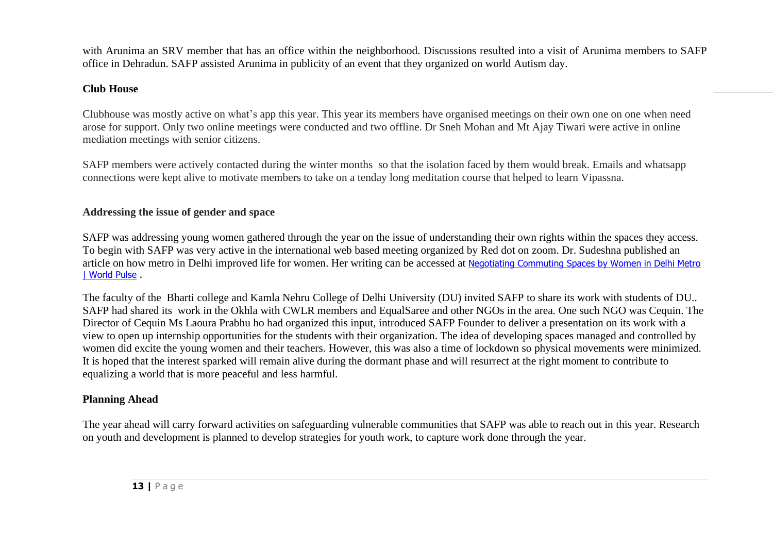with Arunima an SRV member that has an office within the neighborhood. Discussions resulted into a visit of Arunima members to SAFP office in Dehradun. SAFP assisted Arunima in publicity of an event that they organized on world Autism day.

# **Club House**

Clubhouse was mostly active on what's app this year. This year its members have organised meetings on their own one on one when need arose for support. Only two online meetings were conducted and two offline. Dr Sneh Mohan and Mt Ajay Tiwari were active in online mediation meetings with senior citizens.

SAFP members were actively contacted during the winter months so that the isolation faced by them would break. Emails and whatsapp connections were kept alive to motivate members to take on a tenday long meditation course that helped to learn Vipassna.

# **Addressing the issue of gender and space**

SAFP was addressing young women gathered through the year on the issue of understanding their own rights within the spaces they access. To begin with SAFP was very active in the international web based meeting organized by Red dot on zoom. Dr. Sudeshna published an article on how metro in Delhi improved life for women. Her writing can be accessed at [Negotiating Commuting Spaces by Women in Delhi Metro](https://www.worldpulse.com/community/users/safecity/posts/99075)  [| World Pulse](https://www.worldpulse.com/community/users/safecity/posts/99075)

The faculty of the Bharti college and Kamla Nehru College of Delhi University (DU) invited SAFP to share its work with students of DU.. SAFP had shared its work in the Okhla with CWLR members and EqualSaree and other NGOs in the area. One such NGO was Cequin. The Director of Cequin Ms Laoura Prabhu ho had organized this input, introduced SAFP Founder to deliver a presentation on its work with a view to open up internship opportunities for the students with their organization. The idea of developing spaces managed and controlled by women did excite the young women and their teachers. However, this was also a time of lockdown so physical movements were minimized. It is hoped that the interest sparked will remain alive during the dormant phase and will resurrect at the right moment to contribute to equalizing a world that is more peaceful and less harmful.

# **Planning Ahead**

The year ahead will carry forward activities on safeguarding vulnerable communities that SAFP was able to reach out in this year. Research on youth and development is planned to develop strategies for youth work, to capture work done through the year.